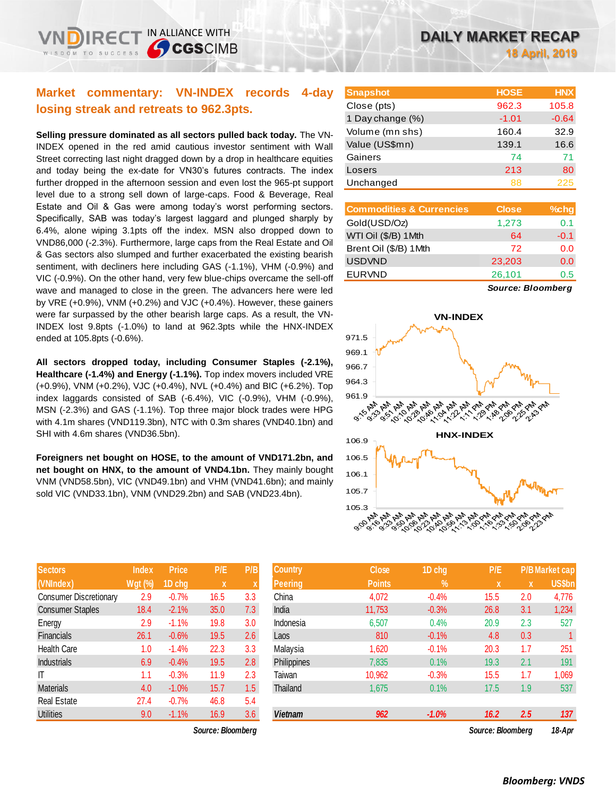## **Market commentary: VN-INDEX records 4-day losing streak and retreats to 962.3pts.**

**Selling pressure dominated as all sectors pulled back today.** The VN-INDEX opened in the red amid cautious investor sentiment with Wall Street correcting last night dragged down by a drop in healthcare equities and today being the ex-date for VN30's futures contracts. The index further dropped in the afternoon session and even lost the 965-pt support level due to a strong sell down of large-caps. Food & Beverage, Real Estate and Oil & Gas were among today's worst performing sectors. Specifically, SAB was today's largest laggard and plunged sharply by 6.4%, alone wiping 3.1pts off the index. MSN also dropped down to VND86,000 (-2.3%). Furthermore, large caps from the Real Estate and Oil & Gas sectors also slumped and further exacerbated the existing bearish sentiment, with decliners here including GAS (-1.1%), VHM (-0.9%) and VIC (-0.9%). On the other hand, very few blue-chips overcame the sell-off wave and managed to close in the green. The advancers here were led by VRE (+0.9%), VNM (+0.2%) and VJC (+0.4%). However, these gainers were far surpassed by the other bearish large caps. As a result, the VN-INDEX lost 9.8pts (-1.0%) to land at 962.3pts while the HNX-INDEX ended at 105.8pts (-0.6%).

**All sectors dropped today, including Consumer Staples (-2.1%), Healthcare (-1.4%) and Energy (-1.1%).** Top index movers included VRE (+0.9%), VNM (+0.2%), VJC (+0.4%), NVL (+0.4%) and BIC (+6.2%). Top index laggards consisted of SAB (-6.4%), VIC (-0.9%), VHM (-0.9%), MSN (-2.3%) and GAS (-1.1%). Top three major block trades were HPG with 4.1m shares (VND119.3bn), NTC with 0.3m shares (VND40.1bn) and SHI with 4.6m shares (VND36.5bn).

**Foreigners net bought on HOSE, to the amount of VND171.2bn, and net bought on HNX, to the amount of VND4.1bn.** They mainly bought VNM (VND58.5bn), VIC (VND49.1bn) and VHM (VND41.6bn); and mainly sold VIC (VND33.1bn), VNM (VND29.2bn) and SAB (VND23.4bn).

| <b>Sectors</b>                | <b>Index</b> | <b>Price</b> | P/E  | P/B |
|-------------------------------|--------------|--------------|------|-----|
| (VNIndex)                     | Wgt (%)      | 1D chg       | X    | X   |
| <b>Consumer Discretionary</b> | 2.9          | $-0.7%$      | 16.5 | 3.3 |
| <b>Consumer Staples</b>       | 18.4         | $-2.1%$      | 35.0 | 7.3 |
| Energy                        | 2.9          | $-1.1%$      | 19.8 | 3.0 |
| <b>Financials</b>             | 26.1         | $-0.6%$      | 19.5 | 2.6 |
| <b>Health Care</b>            | 1.0          | $-1.4%$      | 22.3 | 3.3 |
| <b>Industrials</b>            | 6.9          | $-0.4%$      | 19.5 | 2.8 |
| IT                            | 1.1          | $-0.3%$      | 11.9 | 2.3 |
| <b>Materials</b>              | 4.0          | $-1.0%$      | 15.7 | 1.5 |
| <b>Real Estate</b>            | 27.4         | $-0.7%$      | 46.8 | 5.4 |
| <b>Utilities</b>              | 9.0          | $-1.1%$      | 16.9 | 3.6 |

 $Source: Bloomberg$ 

| <b>Snapshot</b>  | <b>HOSE</b> | <b>HNX</b> |
|------------------|-------------|------------|
| Close (pts)      | 962.3       | 105.8      |
| 1 Day change (%) | $-1.01$     | $-0.64$    |
| Volume (mn shs)  | 160.4       | 32.9       |
| Value (US\$mn)   | 139.1       | 16.6       |
| Gainers          | 74          | 71         |
| Losers           | 213         | 80         |
| Unchanged        | 88          | 225        |

| <b>Commodities &amp; Currencies</b> | <b>Close</b> | $%$ chg |
|-------------------------------------|--------------|---------|
| Gold(USD/Oz)                        | 1,273        | 0.1     |
| WTI Oil (\$/B) 1 Mth                | 64           | $-0.1$  |
| Brent Oil (\$/B) 1Mth               | 72           | 0.0     |
| <b>USDVND</b>                       | 23,203       | 0.0     |
| <b>EURVND</b>                       | 26,101       | 0.5     |
|                                     |              |         |

*Source: Bloomberg*



| <b>Sectors</b>                         | <b>Index</b>   | <b>Price</b> | P/E         | P/B | <b>Country</b> | <b>Close</b>  | 1D chg        | P/E          |             | <b>P/B Market cap</b> |
|----------------------------------------|----------------|--------------|-------------|-----|----------------|---------------|---------------|--------------|-------------|-----------------------|
| (VNIndex)                              | <b>Wgt (%)</b> | 1D chg       | $\mathbf x$ | X   | <b>Peering</b> | <b>Points</b> | $\frac{9}{6}$ | $\mathbf{x}$ | $\mathbf x$ | <b>US\$bn</b>         |
| Consumer Discretionary                 | 2.9            | $-0.7%$      | 16.5        | 3.3 | China          | 4,072         | $-0.4%$       | 15.5         | 2.0         | 4,776                 |
| <b>Consumer Staples</b>                | 18.4           | $-2.1%$      | 35.0        | 7.3 | India          | 11,753        | $-0.3%$       | 26.8         | 3.1         | 1,234                 |
| Energy                                 | 2.9            | $-1.1%$      | 19.8        | 3.0 | Indonesia      | 6,507         | 0.4%          | 20.9         | 2.3         | 527                   |
| Financials                             | 26.1           | $-0.6%$      | 19.5        | 2.6 | Laos           | 810           | $-0.1%$       | 4.8          | 0.3         |                       |
| Health Care                            | 1.0            | $-1.4%$      | 22.3        | 3.3 | Malaysia       | 1,620         | $-0.1%$       | 20.3         | 1.7         | 251                   |
| Industrials                            | 6.9            | $-0.4%$      | 19.5        | 2.8 | Philippines    | 7,835         | 0.1%          | 19.3         | 2.1         | 191                   |
|                                        | 1.1            | $-0.3%$      | 11.9        | 2.3 | Taiwan         | 10,962        | $-0.3%$       | 15.5         | 1.7         | 1,069                 |
| Materials                              | 4.0            | $-1.0%$      | 15.7        | 1.5 | Thailand       | 1,675         | 0.1%          | 17.5         | 1.9         | 537                   |
| Real Estate                            | 27.4           | $-0.7%$      | 46.8        | 5.4 |                |               |               |              |             |                       |
| Utilities                              | 9.0            | $-1.1%$      | 16.9        | 3.6 | <b>Vietnam</b> | 962           | $-1.0%$       | 16.2         | 2.5         | 137                   |
| Source: Bloomberg<br>Source: Bloombarg |                |              |             |     |                |               |               |              |             | 18.4 <sub>nr</sub>    |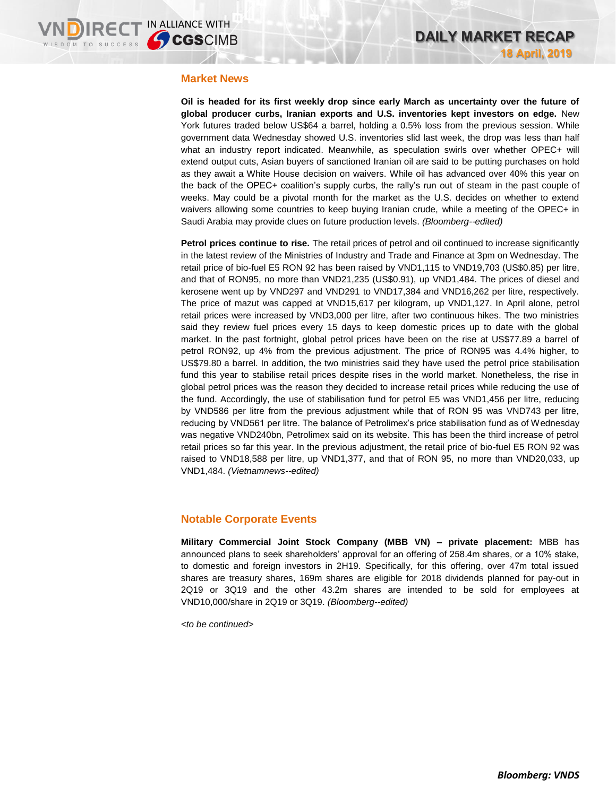#### **Market News**

**Oil is headed for its first weekly drop since early March as uncertainty over the future of global producer curbs, Iranian exports and U.S. inventories kept investors on edge.** New York futures traded below US\$64 a barrel, holding a 0.5% loss from the previous session. While government data Wednesday showed U.S. inventories slid last week, the drop was less than half what an industry report indicated. Meanwhile, as speculation swirls over whether OPEC+ will extend output cuts, Asian buyers of sanctioned Iranian oil are said to be putting purchases on hold as they await a White House decision on waivers. While oil has advanced over 40% this year on the back of the OPEC+ coalition's supply curbs, the rally's run out of steam in the past couple of weeks. May could be a pivotal month for the market as the U.S. decides on whether to extend waivers allowing some countries to keep buying Iranian crude, while a meeting of the OPEC+ in Saudi Arabia may provide clues on future production levels. *(Bloomberg--edited)*

**Petrol prices continue to rise.** The retail prices of petrol and oil continued to increase significantly in the latest review of the Ministries of Industry and Trade and Finance at 3pm on Wednesday. The retail price of bio-fuel E5 RON 92 has been raised by VND1,115 to VND19,703 (US\$0.85) per litre, and that of RON95, no more than VND21,235 (US\$0.91), up VND1,484. The prices of diesel and kerosene went up by VND297 and VND291 to VND17,384 and VND16,262 per litre, respectively. The price of mazut was capped at VND15,617 per kilogram, up VND1,127. In April alone, petrol retail prices were increased by VND3,000 per litre, after two continuous hikes. The two ministries said they review fuel prices every 15 days to keep domestic prices up to date with the global market. In the past fortnight, global petrol prices have been on the rise at US\$77.89 a barrel of petrol RON92, up 4% from the previous adjustment. The price of RON95 was 4.4% higher, to US\$79.80 a barrel. In addition, the two ministries said they have used the petrol price stabilisation fund this year to stabilise retail prices despite rises in the world market. Nonetheless, the rise in global petrol prices was the reason they decided to increase retail prices while reducing the use of the fund. Accordingly, the use of stabilisation fund for petrol E5 was VND1,456 per litre, reducing by VND586 per litre from the previous adjustment while that of RON 95 was VND743 per litre, reducing by VND561 per litre. The balance of Petrolimex's price stabilisation fund as of Wednesday was negative VND240bn, Petrolimex said on its website. This has been the third increase of petrol retail prices so far this year. In the previous adjustment, the retail price of bio-fuel E5 RON 92 was raised to VND18,588 per litre, up VND1,377, and that of RON 95, no more than VND20,033, up VND1,484. *(Vietnamnews--edited)*

## **Notable Corporate Events**

**Military Commercial Joint Stock Company (MBB VN) – private placement:** MBB has announced plans to seek shareholders' approval for an offering of 258.4m shares, or a 10% stake, to domestic and foreign investors in 2H19. Specifically, for this offering, over 47m total issued shares are treasury shares, 169m shares are eligible for 2018 dividends planned for pay-out in 2Q19 or 3Q19 and the other 43.2m shares are intended to be sold for employees at VND10,000/share in 2Q19 or 3Q19. *(Bloomberg--edited)*

*<to be continued>*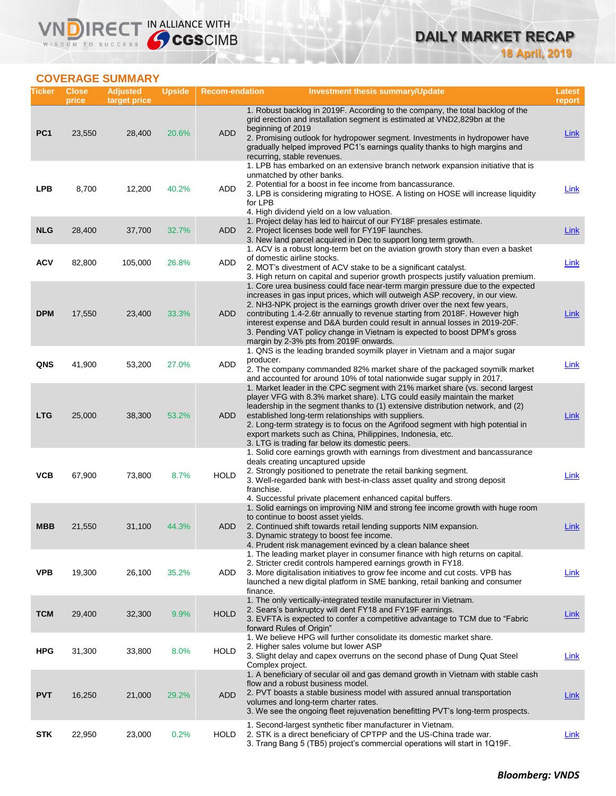

## **COVERAGE SUMMARY**

VND

| Ticker          | <b>Close</b><br>price | <b>Adjusted</b><br>target price | <b>Upside</b> | <b>Recom-endation</b> | <b>Investment thesis summary/Update</b>                                                                                                                                                                                                                                                                                                                                                                                                                                                                                          | Latest<br>report |
|-----------------|-----------------------|---------------------------------|---------------|-----------------------|----------------------------------------------------------------------------------------------------------------------------------------------------------------------------------------------------------------------------------------------------------------------------------------------------------------------------------------------------------------------------------------------------------------------------------------------------------------------------------------------------------------------------------|------------------|
| PC <sub>1</sub> | 23,550                | 28,400                          | 20.6%         | <b>ADD</b>            | 1. Robust backlog in 2019F. According to the company, the total backlog of the<br>grid erection and installation segment is estimated at VND2,829bn at the<br>beginning of 2019<br>2. Promising outlook for hydropower segment. Investments in hydropower have<br>gradually helped improved PC1's earnings quality thanks to high margins and<br>recurring, stable revenues.                                                                                                                                                     | Link             |
| <b>LPB</b>      | 8,700                 | 12,200                          | 40.2%         | ADD                   | 1. LPB has embarked on an extensive branch network expansion initiative that is<br>unmatched by other banks.<br>2. Potential for a boost in fee income from bancassurance.<br>3. LPB is considering migrating to HOSE. A listing on HOSE will increase liquidity<br>for LPB<br>4. High dividend yield on a low valuation.                                                                                                                                                                                                        | <b>Link</b>      |
| <b>NLG</b>      | 28,400                | 37,700                          | 32.7%         | <b>ADD</b>            | 1. Project delay has led to haircut of our FY18F presales estimate.<br>2. Project licenses bode well for FY19F launches.<br>3. New land parcel acquired in Dec to support long term growth.                                                                                                                                                                                                                                                                                                                                      | <b>Link</b>      |
| <b>ACV</b>      | 82,800                | 105,000                         | 26.8%         | <b>ADD</b>            | 1. ACV is a robust long-term bet on the aviation growth story than even a basket<br>of domestic airline stocks.<br>2. MOT's divestment of ACV stake to be a significant catalyst.<br>3. High return on capital and superior growth prospects justify valuation premium.                                                                                                                                                                                                                                                          | Link             |
| <b>DPM</b>      | 17,550                | 23,400                          | 33.3%         | ADD                   | 1. Core urea business could face near-term margin pressure due to the expected<br>increases in gas input prices, which will outweigh ASP recovery, in our view.<br>2. NH3-NPK project is the earnings growth driver over the next few years,<br>contributing 1.4-2.6tr annually to revenue starting from 2018F. However high<br>interest expense and D&A burden could result in annual losses in 2019-20F.<br>3. Pending VAT policy change in Vietnam is expected to boost DPM's gross<br>margin by 2-3% pts from 2019F onwards. | <b>Link</b>      |
| QNS             | 41,900                | 53,200                          | 27.0%         | <b>ADD</b>            | 1. QNS is the leading branded soymilk player in Vietnam and a major sugar<br>producer.<br>2. The company commanded 82% market share of the packaged soymilk market<br>and accounted for around 10% of total nationwide sugar supply in 2017.                                                                                                                                                                                                                                                                                     | Link             |
| <b>LTG</b>      | 25,000                | 38,300                          | 53.2%         | <b>ADD</b>            | 1. Market leader in the CPC segment with 21% market share (vs. second largest<br>player VFG with 8.3% market share). LTG could easily maintain the market<br>leadership in the segment thanks to (1) extensive distribution network, and (2)<br>established long-term relationships with suppliers.<br>2. Long-term strategy is to focus on the Agrifood segment with high potential in<br>export markets such as China, Philippines, Indonesia, etc.<br>3. LTG is trading far below its domestic peers.                         | <b>Link</b>      |
| <b>VCB</b>      | 67,900                | 73,800                          | 8.7%          | <b>HOLD</b>           | 1. Solid core earnings growth with earnings from divestment and bancassurance<br>deals creating uncaptured upside<br>2. Strongly positioned to penetrate the retail banking segment.<br>3. Well-regarded bank with best-in-class asset quality and strong deposit<br>franchise.<br>4. Successful private placement enhanced capital buffers.                                                                                                                                                                                     | Link             |
| MBB             | 21,550                | 31,100                          | 44.3%         | ADD                   | 1. Solid earnings on improving NIM and strong fee income growth with huge room<br>to continue to boost asset yields.<br>2. Continued shift towards retail lending supports NIM expansion.<br>3. Dynamic strategy to boost fee income.<br>4. Prudent risk management evinced by a clean balance sheet                                                                                                                                                                                                                             | Link             |
| <b>VPB</b>      | 19,300                | 26,100                          | 35.2%         | ADD                   | 1. The leading market player in consumer finance with high returns on capital.<br>2. Stricter credit controls hampered earnings growth in FY18.<br>3. More digitalisation initiatives to grow fee income and cut costs. VPB has<br>launched a new digital platform in SME banking, retail banking and consumer<br>finance.                                                                                                                                                                                                       | <b>Link</b>      |
| <b>TCM</b>      | 29,400                | 32,300                          | 9.9%          | <b>HOLD</b>           | 1. The only vertically-integrated textile manufacturer in Vietnam.<br>2. Sears's bankruptcy will dent FY18 and FY19F earnings.<br>3. EVFTA is expected to confer a competitive advantage to TCM due to "Fabric"<br>forward Rules of Origin"                                                                                                                                                                                                                                                                                      | <b>Link</b>      |
| <b>HPG</b>      | 31,300                | 33,800                          | 8.0%          | <b>HOLD</b>           | 1. We believe HPG will further consolidate its domestic market share.<br>2. Higher sales volume but lower ASP<br>3. Slight delay and capex overruns on the second phase of Dung Quat Steel<br>Complex project.                                                                                                                                                                                                                                                                                                                   | <b>Link</b>      |
| <b>PVT</b>      | 16,250                | 21,000                          | 29.2%         | <b>ADD</b>            | 1. A beneficiary of secular oil and gas demand growth in Vietnam with stable cash<br>flow and a robust business model.<br>2. PVT boasts a stable business model with assured annual transportation<br>volumes and long-term charter rates.<br>3. We see the ongoing fleet rejuvenation benefitting PVT's long-term prospects.                                                                                                                                                                                                    | <b>Link</b>      |
| <b>STK</b>      | 22,950                | 23,000                          | 0.2%          | <b>HOLD</b>           | 1. Second-largest synthetic fiber manufacturer in Vietnam.<br>2. STK is a direct beneficiary of CPTPP and the US-China trade war.<br>3. Trang Bang 5 (TB5) project's commercial operations will start in 1Q19F.                                                                                                                                                                                                                                                                                                                  | <b>Link</b>      |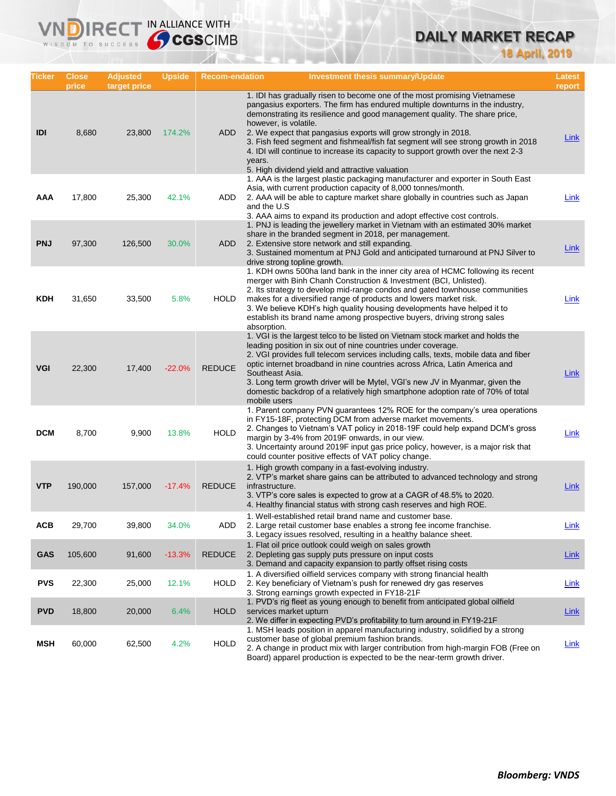# **DAILY MARKET RECAP**

**18 April, 2019**

| Ticker     | <b>Close</b><br>price | <b>Adjusted</b><br>target price | <b>Upside</b> | <b>Recom-endation</b> | <b>Investment thesis summary/Update</b>                                                                                                                                                                                                                                                                                                                                                                                                                                                                                                                                     | Latest<br>report |
|------------|-----------------------|---------------------------------|---------------|-----------------------|-----------------------------------------------------------------------------------------------------------------------------------------------------------------------------------------------------------------------------------------------------------------------------------------------------------------------------------------------------------------------------------------------------------------------------------------------------------------------------------------------------------------------------------------------------------------------------|------------------|
| IDI        | 8,680                 | 23,800                          | 174.2%        | <b>ADD</b>            | 1. IDI has gradually risen to become one of the most promising Vietnamese<br>pangasius exporters. The firm has endured multiple downturns in the industry,<br>demonstrating its resilience and good management quality. The share price,<br>however, is volatile.<br>2. We expect that pangasius exports will grow strongly in 2018.<br>3. Fish feed segment and fishmeal/fish fat segment will see strong growth in 2018<br>4. IDI will continue to increase its capacity to support growth over the next 2-3<br>years.<br>5. High dividend yield and attractive valuation | Link             |
| AAA        | 17,800                | 25,300                          | 42.1%         | ADD                   | 1. AAA is the largest plastic packaging manufacturer and exporter in South East<br>Asia, with current production capacity of 8,000 tonnes/month.<br>2. AAA will be able to capture market share globally in countries such as Japan<br>and the U.S<br>3. AAA aims to expand its production and adopt effective cost controls.                                                                                                                                                                                                                                               | Link             |
| <b>PNJ</b> | 97,300                | 126,500                         | 30.0%         | ADD                   | 1. PNJ is leading the jewellery market in Vietnam with an estimated 30% market<br>share in the branded segment in 2018, per management.<br>2. Extensive store network and still expanding.<br>3. Sustained momentum at PNJ Gold and anticipated turnaround at PNJ Silver to<br>drive strong topline growth.                                                                                                                                                                                                                                                                 | <b>Link</b>      |
| <b>KDH</b> | 31,650                | 33,500                          | 5.8%          | HOLD                  | 1. KDH owns 500ha land bank in the inner city area of HCMC following its recent<br>merger with Binh Chanh Construction & Investment (BCI, Unlisted).<br>2. Its strategy to develop mid-range condos and gated townhouse communities<br>makes for a diversified range of products and lowers market risk.<br>3. We believe KDH's high quality housing developments have helped it to<br>establish its brand name among prospective buyers, driving strong sales<br>absorption.                                                                                               | Link             |
| <b>VGI</b> | 22,300                | 17,400                          | $-22.0%$      | <b>REDUCE</b>         | 1. VGI is the largest telco to be listed on Vietnam stock market and holds the<br>leading position in six out of nine countries under coverage.<br>2. VGI provides full telecom services including calls, texts, mobile data and fiber<br>optic internet broadband in nine countries across Africa, Latin America and<br>Southeast Asia.<br>3. Long term growth driver will be Mytel, VGI's new JV in Myanmar, given the<br>domestic backdrop of a relatively high smartphone adoption rate of 70% of total<br>mobile users                                                 | Link             |
| <b>DCM</b> | 8,700                 | 9,900                           | 13.8%         | <b>HOLD</b>           | 1. Parent company PVN guarantees 12% ROE for the company's urea operations<br>in FY15-18F, protecting DCM from adverse market movements.<br>2. Changes to Vietnam's VAT policy in 2018-19F could help expand DCM's gross<br>margin by 3-4% from 2019F onwards, in our view.<br>3. Uncertainty around 2019F input gas price policy, however, is a major risk that<br>could counter positive effects of VAT policy change.                                                                                                                                                    | Link             |
| <b>VTP</b> | 190,000               | 157,000                         | $-17.4%$      | <b>REDUCE</b>         | 1. High growth company in a fast-evolving industry.<br>2. VTP's market share gains can be attributed to advanced technology and strong<br>infrastructure.<br>3. VTP's core sales is expected to grow at a CAGR of 48.5% to 2020.<br>4. Healthy financial status with strong cash reserves and high ROE.                                                                                                                                                                                                                                                                     | <b>Link</b>      |
| ACB        | 29,700                | 39,800                          | 34.0%         | ADD                   | 1. Well-established retail brand name and customer base.<br>2. Large retail customer base enables a strong fee income franchise.<br>3. Legacy issues resolved, resulting in a healthy balance sheet.                                                                                                                                                                                                                                                                                                                                                                        | <b>Link</b>      |
| GAS        | 105,600               | 91,600                          | $-13.3%$      | <b>REDUCE</b>         | 1. Flat oil price outlook could weigh on sales growth<br>2. Depleting gas supply puts pressure on input costs<br>3. Demand and capacity expansion to partly offset rising costs                                                                                                                                                                                                                                                                                                                                                                                             | <b>Link</b>      |
| <b>PVS</b> | 22,300                | 25,000                          | 12.1%         | <b>HOLD</b>           | 1. A diversified oilfield services company with strong financial health<br>2. Key beneficiary of Vietnam's push for renewed dry gas reserves<br>3. Strong earnings growth expected in FY18-21F                                                                                                                                                                                                                                                                                                                                                                              | <b>Link</b>      |
| <b>PVD</b> | 18,800                | 20,000                          | 6.4%          | <b>HOLD</b>           | 1. PVD's rig fleet as young enough to benefit from anticipated global oilfield<br>services market upturn<br>2. We differ in expecting PVD's profitability to turn around in FY19-21F                                                                                                                                                                                                                                                                                                                                                                                        | <b>Link</b>      |
| <b>MSH</b> | 60,000                | 62,500                          | 4.2%          | <b>HOLD</b>           | 1. MSH leads position in apparel manufacturing industry, solidified by a strong<br>customer base of global premium fashion brands.<br>2. A change in product mix with larger contribution from high-margin FOB (Free on<br>Board) apparel production is expected to be the near-term growth driver.                                                                                                                                                                                                                                                                         | Link             |

**VNDIRECT IN ALLIANCE WITH**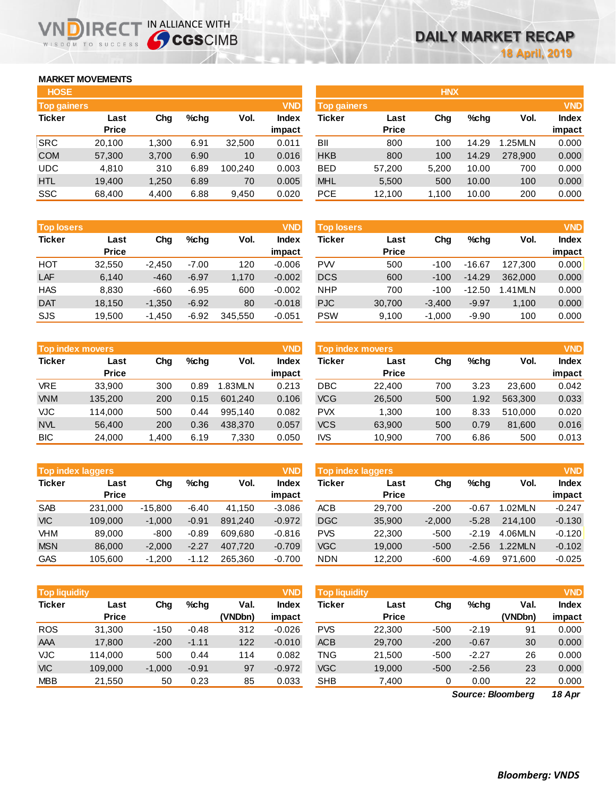## **MARKET MOVEMENTS**

WISDOM TO SUCCESS

n

| <b>HOSE</b>        |              |       |         |         |              | <b>HNX</b>    |              |       |         |         |            |
|--------------------|--------------|-------|---------|---------|--------------|---------------|--------------|-------|---------|---------|------------|
| <b>Top gainers</b> |              |       |         |         | <b>VND</b>   | Top gainers   |              |       |         |         | <b>VND</b> |
| <b>Ticker</b>      | Last         | Chg   | $%$ chq | Vol.    | <b>Index</b> | <b>Ticker</b> | Last         | Chg   | $%$ chg | Vol.    | Index      |
|                    | <b>Price</b> |       |         |         | impact       |               | <b>Price</b> |       |         |         | impact     |
| <b>SRC</b>         | 20,100       | 1,300 | 6.91    | 32,500  | 0.011        | BII           | 800          | 100   | 14.29   | 1.25MLN | 0.000      |
| <b>COM</b>         | 57,300       | 3,700 | 6.90    | 10      | 0.016        | <b>HKB</b>    | 800          | 100   | 14.29   | 278,900 | 0.000      |
| <b>UDC</b>         | 4,810        | 310   | 6.89    | 100.240 | 0.003        | <b>BED</b>    | 57,200       | 5,200 | 10.00   | 700     | 0.000      |
| <b>HTL</b>         | 19.400       | 1,250 | 6.89    | 70      | 0.005        | <b>MHL</b>    | 5,500        | 500   | 10.00   | 100     | 0.000      |
| <b>SSC</b>         | 68.400       | 4,400 | 6.88    | 9.450   | 0.020        | <b>PCE</b>    | 12.100       | 1.100 | 10.00   | 200     | 0.000      |

**IRECT IN ALLIANCE WITH** 

| <b>Top losers</b> |              |          |         |         | <b>VND</b>   |
|-------------------|--------------|----------|---------|---------|--------------|
| <b>Ticker</b>     | Last         | Cha      | %chq    | Vol.    | <b>Index</b> |
|                   | <b>Price</b> |          |         |         | impact       |
| HOT               | 32,550       | $-2,450$ | $-7.00$ | 120     | $-0.006$     |
| LAF               | 6,140        | $-460$   | $-6.97$ | 1,170   | $-0.002$     |
| <b>HAS</b>        | 8,830        | -660     | $-6.95$ | 600     | $-0.002$     |
| <b>DAT</b>        | 18,150       | $-1,350$ | $-6.92$ | 80      | $-0.018$     |
| SJS               | 19,500       | $-1,450$ | $-6.92$ | 345,550 | $-0.051$     |

|               | <b>Top index movers</b> |       |      |         |              |  |  |  |  |  |
|---------------|-------------------------|-------|------|---------|--------------|--|--|--|--|--|
| <b>Ticker</b> | Last                    | Cha   | %chq | Vol.    | <b>Index</b> |  |  |  |  |  |
|               | <b>Price</b>            |       |      |         | impact       |  |  |  |  |  |
| <b>VRE</b>    | 33,900                  | 300   | 0.89 | 1.83MLN | 0.213        |  |  |  |  |  |
| <b>VNM</b>    | 135,200                 | 200   | 0.15 | 601,240 | 0.106        |  |  |  |  |  |
| <b>VJC</b>    | 114,000                 | 500   | 0.44 | 995,140 | 0.082        |  |  |  |  |  |
| <b>NVL</b>    | 56,400                  | 200   | 0.36 | 438,370 | 0.057        |  |  |  |  |  |
| <b>BIC</b>    | 24,000                  | 1,400 | 6.19 | 7,330   | 0.050        |  |  |  |  |  |

|               | <b>VND</b><br><b>Top index laggers</b> |           |         |         |              |  |  |  |  |  |
|---------------|----------------------------------------|-----------|---------|---------|--------------|--|--|--|--|--|
| <b>Ticker</b> | Last                                   | Cha       | %chq    | Vol.    | <b>Index</b> |  |  |  |  |  |
|               | <b>Price</b>                           |           |         |         | impact       |  |  |  |  |  |
| <b>SAB</b>    | 231,000                                | $-15,800$ | $-6.40$ | 41,150  | $-3.086$     |  |  |  |  |  |
| <b>VIC</b>    | 109,000                                | $-1,000$  | $-0.91$ | 891,240 | $-0.972$     |  |  |  |  |  |
| VHM           | 89.000                                 | $-800$    | $-0.89$ | 609.680 | $-0.816$     |  |  |  |  |  |
| <b>MSN</b>    | 86,000                                 | $-2,000$  | $-2.27$ | 407,720 | $-0.709$     |  |  |  |  |  |
| <b>GAS</b>    | 105,600                                | $-1,200$  | $-1.12$ | 265,360 | $-0.700$     |  |  |  |  |  |

|               | <b>VND</b><br><b>Top liquidity</b> |          |         |         |              |  |  |  |  |  |  |
|---------------|------------------------------------|----------|---------|---------|--------------|--|--|--|--|--|--|
| <b>Ticker</b> | Last                               | Cha      | %chq    | Val.    | <b>Index</b> |  |  |  |  |  |  |
|               | <b>Price</b>                       |          |         | (VNDbn) | impact       |  |  |  |  |  |  |
| <b>ROS</b>    | 31,300                             | $-150$   | $-0.48$ | 312     | $-0.026$     |  |  |  |  |  |  |
| AAA           | 17,800                             | $-200$   | $-1.11$ | 122     | $-0.010$     |  |  |  |  |  |  |
| <b>VJC</b>    | 114,000                            | 500      | 0.44    | 114     | 0.082        |  |  |  |  |  |  |
| <b>VIC</b>    | 109,000                            | $-1,000$ | $-0.91$ | 97      | $-0.972$     |  |  |  |  |  |  |
| <b>MBB</b>    | 21,550                             | 50       | 0.23    | 85      | 0.033        |  |  |  |  |  |  |

| <b>HOSE</b>        |              |       |      |         |              | <b>HNX</b>         |              |       |         |         |              |
|--------------------|--------------|-------|------|---------|--------------|--------------------|--------------|-------|---------|---------|--------------|
| <b>Top gainers</b> |              |       |      |         | <b>VND</b>   | <b>Top gainers</b> |              |       |         |         | <b>VND</b>   |
| Ticker             | Last         | Chg   | %chq | Vol.    | <b>Index</b> | Ticker             | Last         | Chg   | $%$ chq | Vol.    | <b>Index</b> |
|                    | <b>Price</b> |       |      |         | impact       |                    | <b>Price</b> |       |         |         | impact       |
| SRC                | 20,100       | 1.300 | 6.91 | 32,500  | 0.011        | BII                | 800          | 100   | 14.29   | 1.25MLN | 0.000        |
| <b>COM</b>         | 57,300       | 3,700 | 6.90 | 10      | 0.016        | <b>HKB</b>         | 800          | 100   | 14.29   | 278,900 | 0.000        |
| UDC                | 4,810        | 310   | 6.89 | 100.240 | 0.003        | <b>BED</b>         | 57,200       | 5,200 | 10.00   | 700     | 0.000        |
| <b>HTL</b>         | 19,400       | 1,250 | 6.89 | 70      | 0.005        | <b>MHL</b>         | 5,500        | 500   | 10.00   | 100     | 0.000        |
| SSC                | 68,400       | 4,400 | 6.88 | 9,450   | 0.020        | <b>PCE</b>         | 12,100       | 1,100 | 10.00   | 200     | 0.000        |

| <b>Top losers</b> |                      |          |         |         | <b>VND</b>             | <b>Top losers</b> |                      |          |          |           | <b>VND</b>             |
|-------------------|----------------------|----------|---------|---------|------------------------|-------------------|----------------------|----------|----------|-----------|------------------------|
| <b>Ticker</b>     | Last<br><b>Price</b> | Chg      | $%$ chq | Vol.    | <b>Index</b><br>impact | Ticker            | Last<br><b>Price</b> | Chg      | $%$ chq  | Vol.      | <b>Index</b><br>impact |
| нот               | 32.550               | $-2.450$ | $-7.00$ | 120     | $-0.006$               | <b>PW</b>         | 500                  | $-100$   | $-16.67$ | 127.300   | 0.000                  |
| LAF               | 6,140                | $-460$   | $-6.97$ | 1,170   | $-0.002$               | <b>DCS</b>        | 600                  | $-100$   | $-14.29$ | 362,000   | 0.000                  |
| <b>HAS</b>        | 8.830                | $-660$   | $-6.95$ | 600     | $-0.002$               | <b>NHP</b>        | 700                  | $-100$   | $-12.50$ | $.41$ MLN | 0.000                  |
| <b>DAT</b>        | 18.150               | $-1,350$ | $-6.92$ | 80      | $-0.018$               | <b>PJC</b>        | 30,700               | $-3.400$ | $-9.97$  | 1.100     | 0.000                  |
| SJS               | 19,500               | $-1,450$ | $-6.92$ | 345,550 | $-0.051$               | <b>PSW</b>        | 9,100                | $-1,000$ | $-9.90$  | 100       | 0.000                  |

|            | Top index movers |                |      |               | <b>VND</b> | Top index movers |              |     |         |         |              |
|------------|------------------|----------------|------|---------------|------------|------------------|--------------|-----|---------|---------|--------------|
| Ticker     | Last             | $%$ chq<br>Chg |      | Vol.<br>Index |            | Ticker           | Last         | Chg | $%$ chq | Vol.    | <b>Index</b> |
|            | <b>Price</b>     |                |      |               | impact     |                  | <b>Price</b> |     |         |         | impact       |
| <b>VRE</b> | 33.900           | 300            | 0.89 | 1.83MLN       | 0.213      | DBC              | 22,400       | 700 | 3.23    | 23,600  | 0.042        |
| <b>VNM</b> | 135,200          | 200            | 0.15 | 601.240       | 0.106      | <b>VCG</b>       | 26,500       | 500 | 1.92    | 563.300 | 0.033        |
| VJC.       | 114.000          | 500            | 0.44 | 995.140       | 0.082      | <b>PVX</b>       | 1.300        | 100 | 8.33    | 510.000 | 0.020        |
| <b>NVL</b> | 56.400           | 200            | 0.36 | 438,370       | 0.057      | <b>VCS</b>       | 63,900       | 500 | 0.79    | 81.600  | 0.016        |
| <b>BIC</b> | 24,000           | 1,400          | 6.19 | 7,330         | 0.050      | <b>IVS</b>       | 10,900       | 700 | 6.86    | 500     | 0.013        |

| <b>Top index laggers</b> |                      |           |         |         | <b>VND</b> | <b>Top index laggers</b> |                      |          |         |         |              |
|--------------------------|----------------------|-----------|---------|---------|------------|--------------------------|----------------------|----------|---------|---------|--------------|
| Ticker                   | Last<br><b>Price</b> | Chg       | $%$ chq | Vol.    | Index      | Ticker                   | Last<br><b>Price</b> | Chg      | $%$ chq | Vol.    | <b>Index</b> |
|                          |                      |           |         |         | impact     |                          |                      |          |         |         | impact       |
| <b>SAB</b>               | 231.000              | $-15.800$ | $-6.40$ | 41.150  | $-3.086$   | <b>ACB</b>               | 29.700               | $-200$   | $-0.67$ | 1.02MLN | $-0.247$     |
| <b>VIC</b>               | 109,000              | $-1.000$  | $-0.91$ | 891.240 | $-0.972$   | <b>DGC</b>               | 35,900               | $-2.000$ | $-5.28$ | 214.100 | $-0.130$     |
| VHM                      | 89,000               | $-800$    | $-0.89$ | 609.680 | $-0.816$   | <b>PVS</b>               | 22,300               | $-500$   | $-2.19$ | 4.06MLN | $-0.120$     |
| <b>MSN</b>               | 86,000               | $-2.000$  | $-2.27$ | 407.720 | $-0.709$   | <b>VGC</b>               | 19,000               | $-500$   | $-2.56$ | 1.22MLN | $-0.102$     |
| GAS                      | 105.600              | $-1.200$  | $-1.12$ | 265.360 | $-0.700$   | <b>NDN</b>               | 12.200               | $-600$   | $-4.69$ | 971.600 | $-0.025$     |

| <b>Top liquidity</b> |              |          |         |         | <b>VND</b>   | <b>Top liquidity</b> |              |        |         |                   |              |  |
|----------------------|--------------|----------|---------|---------|--------------|----------------------|--------------|--------|---------|-------------------|--------------|--|
| Ticker               | Last         | Chg      | $%$ chq | Val.    | <b>Index</b> | Ticker               | Last         | Chg    | $%$ chq | Val.              | <b>Index</b> |  |
|                      | <b>Price</b> |          |         | (VNDbn) | impact       |                      | <b>Price</b> |        |         | (VNDbn)           | impact       |  |
| <b>ROS</b>           | 31,300       | $-150$   | $-0.48$ | 312     | $-0.026$     | <b>PVS</b>           | 22,300       | $-500$ | $-2.19$ | 91                | 0.000        |  |
| AAA                  | 17,800       | $-200$   | $-1.11$ | 122     | $-0.010$     | <b>ACB</b>           | 29,700       | $-200$ | $-0.67$ | 30                | 0.000        |  |
| VJC                  | 114.000      | 500      | 0.44    | 114     | 0.082        | TNG                  | 21,500       | $-500$ | $-2.27$ | 26                | 0.000        |  |
| <b>VIC</b>           | 109.000      | $-1,000$ | $-0.91$ | 97      | $-0.972$     | <b>VGC</b>           | 19,000       | $-500$ | $-2.56$ | 23                | 0.000        |  |
| <b>MBB</b>           | 21,550       | 50       | 0.23    | 85      | 0.033        | <b>SHB</b>           | 7,400        | 0      | 0.00    | 22                | 0.000        |  |
|                      |              |          |         |         |              |                      |              |        |         | Source: Bloomberg | 18 Apr       |  |

*18 Apr Source: Bloomberg*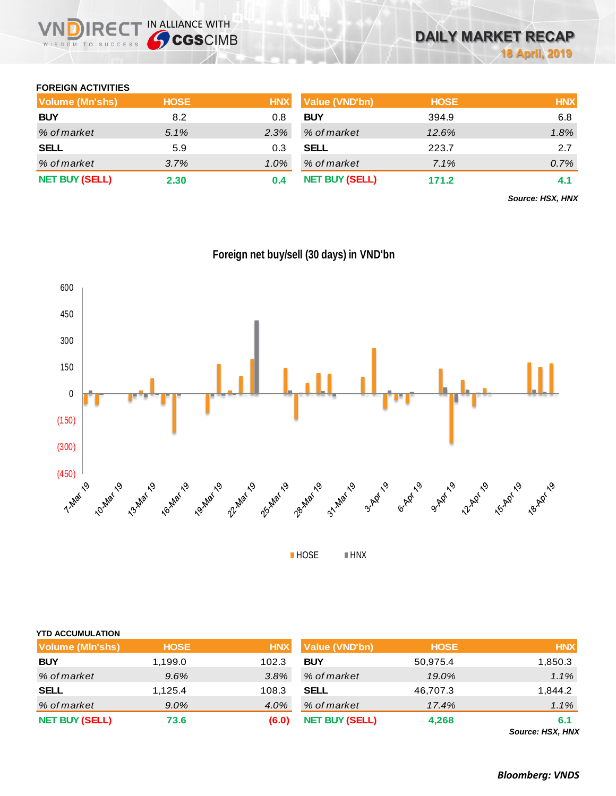## **FOREIGN ACTIVITIES**

WISDOM TO SUCCESS

| Volume (Mn'shs)       | <b>HOSE</b> | <b>HNX</b> | Value (VND'bn)        | <b>HOSE</b> | <b>HNX</b> |
|-----------------------|-------------|------------|-----------------------|-------------|------------|
| <b>BUY</b>            | 8.2         | 0.8        | <b>BUY</b>            | 394.9       | 6.8        |
| % of market           | $5.1\%$     | 2.3%       | % of market           | 12.6%       | 1.8%       |
| <b>SELL</b>           | 5.9         | 0.3        | <b>SELL</b>           | 223.7       | 2.7        |
| % of market           | 3.7%        | $1.0\%$    | % of market           | 7.1%        | 0.7%       |
| <b>NET BUY (SELL)</b> | 2.30        | 0.4        | <b>NET BUY (SELL)</b> | 171.2       | 4.1        |

*Source: HSX, HNX*



**Foreign net buy/sell (30 days) in VND'bn**

HOSE **HNX** 

| <b>YTD ACCUMULATION</b> |             |            |                       |             |                        |
|-------------------------|-------------|------------|-----------------------|-------------|------------------------|
| <b>Volume (MIn'shs)</b> | <b>HOSE</b> | <b>HNX</b> | Value (VND'bn)        | <b>HOSE</b> | <b>HNX</b>             |
| <b>BUY</b>              | 1,199.0     | 102.3      | <b>BUY</b>            | 50,975.4    | 1,850.3                |
| % of market             | 9.6%        | 3.8%       | % of market           | 19.0%       | 1.1%                   |
| <b>SELL</b>             | 1,125.4     | 108.3      | <b>SELL</b>           | 46,707.3    | 1,844.2                |
| % of market             | $9.0\%$     | 4.0%       | % of market           | 17.4%       | 1.1%                   |
| <b>NET BUY (SELL)</b>   | 73.6        | (6.0)      | <b>NET BUY (SELL)</b> | 4,268       | 6.1<br>Course HOV HAIV |

*Source: HSX, HNX*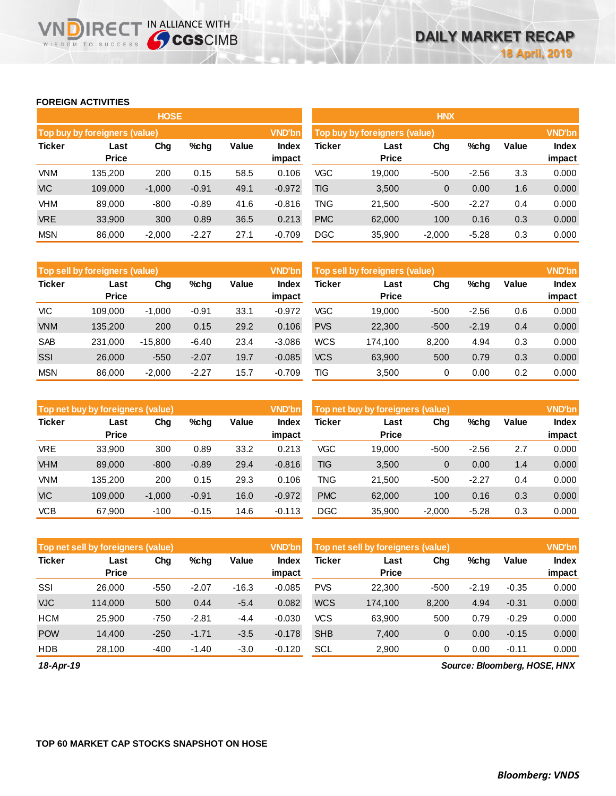## **FOREIGN ACTIVITIES**

WISDOM TO SUCCESS

**VNDIRECT IN ALLIANCE WITH** 

|               |                                                                        | <b>HOSE</b> |         |      |               | <b>HNX</b>                    |                      |          |         |       |                 |  |  |
|---------------|------------------------------------------------------------------------|-------------|---------|------|---------------|-------------------------------|----------------------|----------|---------|-------|-----------------|--|--|
|               | Top buy by foreigners (value)                                          |             |         |      | <b>VND'bn</b> | Top buy by foreigners (value) |                      |          |         |       |                 |  |  |
| <b>Ticker</b> | Value<br>Chg<br>%chg<br><b>Index</b><br>Last<br><b>Price</b><br>impact |             |         |      |               | Ticker                        | Last<br><b>Price</b> | Chg      | %chg    | Value | Index<br>impact |  |  |
| <b>VNM</b>    | 135.200                                                                | 200         | 0.15    | 58.5 | 0.106         | <b>VGC</b>                    | 19,000               | $-500$   | $-2.56$ | 3.3   | 0.000           |  |  |
| <b>VIC</b>    | 109,000                                                                | $-1,000$    | $-0.91$ | 49.1 | $-0.972$      | TIG                           | 3,500                | 0        | 0.00    | 1.6   | 0.000           |  |  |
| <b>VHM</b>    | 89,000                                                                 | $-800$      | $-0.89$ | 41.6 | $-0.816$      | TNG                           | 21,500               | $-500$   | $-2.27$ | 0.4   | 0.000           |  |  |
| <b>VRE</b>    | 33,900                                                                 | 300         | 0.89    | 36.5 | 0.213         | <b>PMC</b>                    | 62,000               | 100      | 0.16    | 0.3   | 0.000           |  |  |
| <b>MSN</b>    | 86,000                                                                 | $-2,000$    | $-2.27$ | 27.1 | $-0.709$      | <b>DGC</b>                    | 35,900               | $-2,000$ | $-5.28$ | 0.3   | 0.000           |  |  |

|               | Top sell by foreigners (value) |           |         |       | <b>VND'bn</b>   | Top sell by foreigners (value), |                      |        |         |       | <b>VND'bn</b>          |
|---------------|--------------------------------|-----------|---------|-------|-----------------|---------------------------------|----------------------|--------|---------|-------|------------------------|
| <b>Ticker</b> | Last<br><b>Price</b>           | Chg       | $%$ chg | Value | Index<br>impact | Ticker                          | Last<br><b>Price</b> | Chg    | %chg    | Value | <b>Index</b><br>impact |
| VIC           | 109.000                        | $-1.000$  | $-0.91$ | 33.1  | $-0.972$        | VGC                             | 19.000               | $-500$ | $-2.56$ | 0.6   | 0.000                  |
| <b>VNM</b>    | 135.200                        | 200       | 0.15    | 29.2  | 0.106           | <b>PVS</b>                      | 22,300               | $-500$ | $-2.19$ | 0.4   | 0.000                  |
| <b>SAB</b>    | 231.000                        | $-15.800$ | $-6.40$ | 23.4  | $-3.086$        | <b>WCS</b>                      | 174.100              | 8,200  | 4.94    | 0.3   | 0.000                  |
| SSI           | 26,000                         | $-550$    | $-2.07$ | 19.7  | $-0.085$        | <b>VCS</b>                      | 63,900               | 500    | 0.79    | 0.3   | 0.000                  |
| <b>MSN</b>    | 86,000                         | $-2,000$  | $-2.27$ | 15.7  | $-0.709$        | TIG                             | 3,500                | 0      | 0.00    | 0.2   | 0.000                  |

|               | Top net buy by foreigners (value) |                      |         |                 | <b>VND'bn</b> | Top net buy by foreigners (value) |        | <b>VND'bn</b> |         |                        |       |
|---------------|-----------------------------------|----------------------|---------|-----------------|---------------|-----------------------------------|--------|---------------|---------|------------------------|-------|
| <b>Ticker</b> | Last<br><b>Price</b>              | Value<br>Chg<br>%chg |         | Index<br>impact | Ticker        | Last<br><b>Price</b>              | Chg    | %chg          | Value   | <b>Index</b><br>impact |       |
| <b>VRE</b>    | 33.900                            | 300                  | 0.89    | 33.2            | 0.213         | <b>VGC</b>                        | 19.000 | $-500$        | $-2.56$ | 2.7                    | 0.000 |
| <b>VHM</b>    | 89,000                            | $-800$               | $-0.89$ | 29.4            | $-0.816$      | <b>TIG</b>                        | 3,500  | 0             | 0.00    | 1.4                    | 0.000 |
| <b>VNM</b>    | 135.200                           | 200                  | 0.15    | 29.3            | 0.106         | TNG                               | 21.500 | $-500$        | $-2.27$ | 0.4                    | 0.000 |
| <b>VIC</b>    | 109.000                           | $-1,000$             | $-0.91$ | 16.0            | $-0.972$      | <b>PMC</b>                        | 62,000 | 100           | 0.16    | 0.3                    | 0.000 |
| <b>VCB</b>    | 67,900                            | $-100$               | $-0.15$ | 14.6            | $-0.113$      | <b>DGC</b>                        | 35,900 | $-2,000$      | $-5.28$ | 0.3                    | 0.000 |

|               | Top net sell by foreigners (value)              |        |         |                 | <b>VND'bn</b> | Top net sell by foreigners (value) | <b>VND'bn</b> |        |         |                 |       |
|---------------|-------------------------------------------------|--------|---------|-----------------|---------------|------------------------------------|---------------|--------|---------|-----------------|-------|
| <b>Ticker</b> | Value<br>Chg<br>$%$ chg<br>Last<br><b>Price</b> |        |         | Index<br>impact | Ticker        | Last<br><b>Price</b>               | Chg           | %chg   | Value   | Index<br>impact |       |
| SSI           | 26,000                                          | $-550$ | $-2.07$ | $-16.3$         | $-0.085$      | <b>PVS</b>                         | 22,300        | $-500$ | $-2.19$ | $-0.35$         | 0.000 |
| <b>VJC</b>    | 114.000                                         | 500    | 0.44    | $-5.4$          | 0.082         | <b>WCS</b>                         | 174.100       | 8,200  | 4.94    | $-0.31$         | 0.000 |
| <b>HCM</b>    | 25.900                                          | $-750$ | $-2.81$ | -4.4            | $-0.030$      | VCS                                | 63.900        | 500    | 0.79    | $-0.29$         | 0.000 |
| <b>POW</b>    | 14.400                                          | $-250$ | $-1.71$ | $-3.5$          | $-0.178$      | <b>SHB</b>                         | 7,400         | 0      | 0.00    | $-0.15$         | 0.000 |
| <b>HDB</b>    | 28,100                                          | $-400$ | $-1.40$ | $-3.0$          | $-0.120$      | <b>SCL</b>                         | 2,900         | 0      | 0.00    | $-0.11$         | 0.000 |

*18-Apr-19*

*Source: Bloomberg, HOSE, HNX*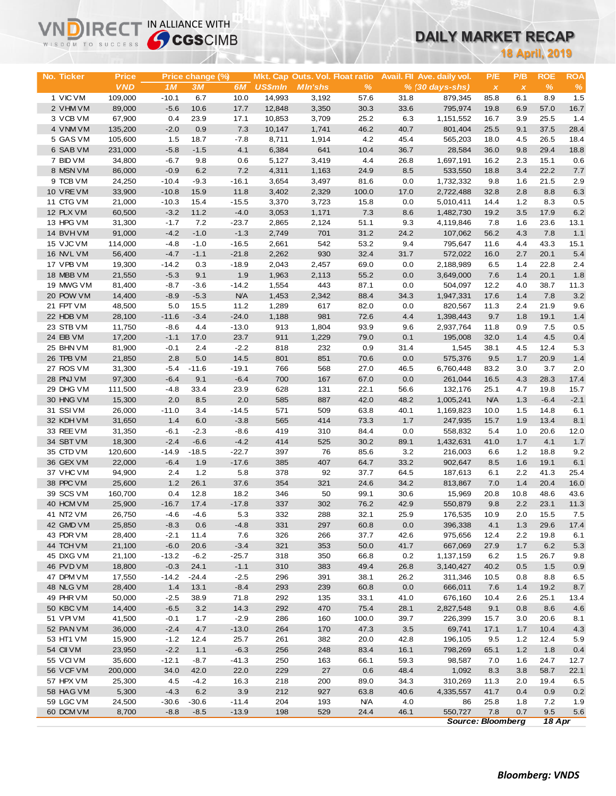# **DAILY MARKET RECAP**

| WISDOM TO SUCCESS      | <b>Sy CGS</b> CIMB |                   |                  |                   |                |                                 |              |              | DAILY MARKET RECAP         |                          |                           |                       |            |  |
|------------------------|--------------------|-------------------|------------------|-------------------|----------------|---------------------------------|--------------|--------------|----------------------------|--------------------------|---------------------------|-----------------------|------------|--|
|                        |                    |                   |                  |                   |                |                                 |              |              |                            |                          |                           | <b>18 April, 2019</b> |            |  |
|                        |                    |                   |                  |                   |                |                                 |              |              |                            |                          |                           |                       |            |  |
| No. Ticker             | Price              |                   | Price change (%) |                   |                | Mkt. Cap Outs. Vol. Float ratio |              |              | Avail. Fil Ave. daily vol. | P/E                      | P/B                       | <b>ROE</b>            | <b>ROA</b> |  |
|                        | <b>VND</b>         | 1M                | 3M               | 6M                | <b>US\$mln</b> | <b>MIn'shs</b>                  | $\%$         |              | % (30 days-shs)            | $\pmb{\times}$           | $\boldsymbol{\mathsf{x}}$ | $\%$                  | $\%$       |  |
| 1 VIC VM               | 109,000            | $-10.1$           | 6.7              | 10.0              | 14,993         | 3,192                           | 57.6         | 31.8         | 879,345                    | 85.8                     | 6.1                       | 8.9                   | 1.5        |  |
| 2 VHM VM               | 89,000             | $-5.6$            | 10.6             | 17.7              | 12,848         | 3,350                           | 30.3         | 33.6         | 795,974                    | 19.8                     | 6.9                       | 57.0                  | 16.7       |  |
| 3 VCB VM               | 67,900             | 0.4               | 23.9             | 17.1              | 10,853         | 3,709                           | 25.2         | 6.3          | 1,151,552                  | 16.7                     | 3.9                       | 25.5                  | 1.4        |  |
| 4 VNM VM               | 135,200            | $-2.0$            | 0.9              | 7.3               | 10,147         | 1,741                           | 46.2         | 40.7         | 801,404                    | 25.5                     | 9.1                       | 37.5                  | 28.4       |  |
| 5 GAS VM               | 105,600            | 1.5               | 18.7             | $-7.8$            | 8,711          | 1,914                           | 4.2          | 45.4         | 565,203                    | 18.0                     | 4.5                       | 26.5                  | 18.4       |  |
| 6 SAB VM               | 231,000            | $-5.8$            | $-1.5$           | 4.1               | 6,384          | 641                             | 10.4         | 36.7         | 28,584                     | 36.0                     | 9.8                       | 29.4                  | 18.8       |  |
| 7 BID VM               | 34,800             | $-6.7$            | 9.8              | 0.6<br>7.2        | 5,127          | 3,419                           | 4.4          | 26.8         | 1,697,191                  | 16.2                     | 2.3<br>3.4                | 15.1<br>22.2          | 0.6        |  |
| 8 MSN VM<br>9 TCB VM   | 86,000<br>24,250   | $-0.9$<br>$-10.4$ | 6.2<br>$-9.3$    | $-16.1$           | 4,311<br>3,654 | 1,163<br>3,497                  | 24.9<br>81.6 | 8.5<br>0.0   | 533,550<br>1,732,332       | 18.8<br>9.8              | 1.6                       | 21.5                  | 7.7<br>2.9 |  |
| 10 VRE VM              | 33,900             | $-10.8$           | 15.9             | 11.8              | 3,402          | 2,329                           | 100.0        | 17.0         | 2,722,488                  | 32.8                     | 2.8                       | 8.8                   | 6.3        |  |
| 11 CTG VM              | 21,000             | $-10.3$           | 15.4             | $-15.5$           | 3,370          | 3,723                           | 15.8         | 0.0          | 5,010,411                  | 14.4                     | 1.2                       | 8.3                   | 0.5        |  |
| 12 PLX VM              | 60,500             | $-3.2$            | 11.2             | $-4.0$            | 3,053          | 1,171                           | 7.3          | 8.6          | 1,482,730                  | 19.2                     | 3.5                       | 17.9                  | 6.2        |  |
| 13 HPG VM              | 31,300             | $-1.7$            | 7.2              | $-23.7$           | 2,865          | 2,124                           | 51.1         | 9.3          | 4,119,846                  | 7.8                      | 1.6                       | 23.6                  | 13.1       |  |
| 14 BVHVM               | 91,000             | $-4.2$            | $-1.0$           | $-1.3$            | 2,749          | 701                             | 31.2         | 24.2         | 107,062                    | 56.2                     | 4.3                       | 7.8                   | 1.1        |  |
| 15 VJC VM              | 114,000            | $-4.8$            | $-1.0$           | $-16.5$           | 2,661          | 542                             | 53.2         | 9.4          | 795,647                    | 11.6                     | 4.4                       | 43.3                  | 15.1       |  |
| 16 NVL VM              | 56,400             | $-4.7$            | $-1.1$           | $-21.8$           | 2,262          | 930                             | 32.4         | 31.7         | 572,022                    | 16.0                     | 2.7                       | 20.1                  | 5.4        |  |
| 17 VPB VM              | 19,300             | $-14.2$           | 0.3              | $-18.9$           | 2,043          | 2,457                           | 69.0         | 0.0          | 2,188,989                  | 6.5                      | 1.4                       | 22.8                  | 2.4        |  |
| 18 MBB VM              | 21,550             | $-5.3$            | 9.1              | 1.9               | 1,963          | 2,113                           | 55.2         | 0.0          | 3,649,000                  | 7.6                      | 1.4                       | 20.1                  | 1.8        |  |
| 19 MWG VM              | 81,400             | $-8.7$            | $-3.6$           | $-14.2$           | 1,554          | 443                             | 87.1         | 0.0          | 504,097                    | 12.2                     | 4.0                       | 38.7                  | 11.3       |  |
| 20 POW VM              | 14,400             | $-8.9$            | $-5.3$           | <b>N/A</b>        | 1,453          | 2,342                           | 88.4         | 34.3         | 1,947,331                  | 17.6                     | 1.4                       | 7.8                   | 3.2        |  |
| 21 FPT VM              | 48,500             | 5.0               | 15.5             | 11.2              | 1,289          | 617                             | 82.0         | 0.0          | 820,567                    | 11.3                     | 2.4                       | 21.9                  | 9.6        |  |
| 22 HDB VM              | 28,100             | $-11.6$           | $-3.4$           | $-24.0$           | 1,188          | 981                             | 72.6         | 4.4          | 1,398,443                  | 9.7                      | 1.8                       | 19.1                  | $1.4$      |  |
| 23 STB VM              | 11,750             | $-8.6$            | 4.4              | $-13.0$           | 913            | 1,804                           | 93.9         | 9.6          | 2,937,764                  | 11.8                     | 0.9                       | 7.5                   | 0.5        |  |
| 24 EIB VM              | 17,200             | $-1.1$            | 17.0             | 23.7              | 911            | 1,229                           | 79.0         | 0.1          | 195,008                    | 32.0                     | 1.4                       | 4.5                   | 0.4        |  |
| 25 BHN VM              | 81,900             | $-0.1$            | 2.4              | $-2.2$            | 818            | 232                             | 0.9          | 31.4         | 1,545                      | 38.1                     | 4.5                       | 12.4                  | 5.3        |  |
| 26 TPB VM              | 21,850             | 2.8               | 5.0              | 14.5              | 801            | 851                             | 70.6         | 0.0          | 575,376                    | 9.5                      | 1.7                       | 20.9                  | 1.4        |  |
| 27 ROS VM              | 31,300             | $-5.4$            | $-11.6$          | $-19.1$           | 766            | 568                             | 27.0         | 46.5         | 6,760,448                  | 83.2                     | 3.0                       | 3.7                   | 2.0        |  |
| 28 PNJ VM              | 97,300             | $-6.4$            | 9.1              | $-6.4$            | 700            | 167                             | 67.0         | 0.0          | 261,044                    | 16.5                     | 4.3                       | 28.3                  | 17.4       |  |
| 29 DHG VM              | 111,500            | $-4.8$            | 33.4             | 23.9              | 628            | 131                             | 22.1         | 56.6         | 132,176                    | 25.1                     | 4.7                       | 19.8                  | 15.7       |  |
| 30 HNG VM              | 15,300             | 2.0               | 8.5              | 2.0               | 585            | 887                             | 42.0         | 48.2         | 1,005,241                  | <b>N/A</b>               | 1.3                       | $-6.4$                | $-2.1$     |  |
| 31 SSIVM<br>32 KDH VM  | 26,000<br>31,650   | $-11.0$<br>1.4    | 3.4<br>6.0       | $-14.5$<br>$-3.8$ | 571<br>565     | 509<br>414                      | 63.8<br>73.3 | 40.1<br>1.7  | 1,169,823                  | 10.0                     | 1.5<br>1.9                | 14.8<br>13.4          | 6.1<br>8.1 |  |
| 33 REE VM              | 31,350             | $-6.1$            | $-2.3$           | $-8.6$            | 419            | 310                             | 84.4         | 0.0          | 247,935<br>558,832         | 15.7<br>5.4              | 1.0                       | 20.6                  | 12.0       |  |
| 34 SBT VM              | 18,300             | $-2.4$            | $-6.6$           | $-4.2$            | 414            | 525                             | 30.2         | 89.1         | 1,432,631                  | 41.0                     | 1.7                       | 4.1                   | 1.7        |  |
| 35 CTD VM              | 120,600            | $-14.9$           | $-18.5$          | $-22.7$           | 397            | 76                              | 85.6         | 3.2          | 216,003                    | 6.6                      | 1.2                       | 18.8                  | 9.2        |  |
| 36 GEX VM              | 22,000             | $-6.4$            | 1.9              | $-17.6$           | 385            | 407                             | 64.7         | 33.2         | 902,647                    | 8.5                      | 1.6                       | 19.1                  | 6.1        |  |
| 37 VHC VM              | 94,900             | 2.4               | 1.2              | 5.8               | 378            | 92                              | 37.7         | 64.5         | 187,613                    | 6.1                      | 2.2                       | 41.3                  | 25.4       |  |
| 38 PPC VM              | 25,600             | 1.2               | 26.1             | 37.6              | 354            | 321                             | 24.6         | 34.2         | 813,867                    | 7.0                      | 1.4                       | 20.4                  | 16.0       |  |
| 39 SCS VM              | 160,700            | 0.4               | 12.8             | 18.2              | 346            | 50                              | 99.1         | 30.6         | 15,969                     | 20.8                     | 10.8                      | 48.6                  | 43.6       |  |
| 40 HCM VM              | 25,900             | $-16.7$           | 17.4             | $-17.8$           | 337            | 302                             | 76.2         | 42.9         | 550,879                    | 9.8                      | 2.2                       | 23.1                  | 11.3       |  |
| 41 NT2 VM              | 26,750             | $-4.6$            | $-4.6$           | 5.3               | 332            | 288                             | 32.1         | 25.9         | 176,535                    | 10.9                     | 2.0                       | 15.5                  | 7.5        |  |
| 42 GMD VM              | 25,850             | $-8.3$            | 0.6              | $-4.8$            | 331            | 297                             | 60.8         | 0.0          | 396,338                    | 4.1                      | 1.3                       | 29.6                  | 17.4       |  |
| 43 PDR VM              | 28,400             | $-2.1$            | 11.4             | 7.6               | 326            | 266                             | 37.7         | 42.6         | 975,656                    | 12.4                     | 2.2                       | 19.8                  | 6.1        |  |
| 44 TCH VM              | 21,100             | $-6.0$            | 20.6             | $-3.4$            | 321            | 353                             | 50.0         | 41.7         | 667,069                    | 27.9                     | 1.7                       | 6.2                   | 5.3        |  |
| 45 DXG VM              | 21,100             | $-13.2$           | $-6.2$           | $-25.7$           | 318            | 350                             | 66.8         | 0.2          | 1,137,159                  | 6.2                      | $1.5$                     | 26.7                  | 9.8        |  |
| 46 PVD VM              | 18,800             | $-0.3$            | 24.1             | $-1.1$            | 310            | 383                             | 49.4         | 26.8         | 3,140,427                  | 40.2                     | 0.5                       | 1.5                   | 0.9        |  |
| 47 DPM VM              | 17,550             | $-14.2$           | $-24.4$          | $-2.5$            | 296            | 391                             | 38.1         | 26.2         | 311,346                    | 10.5                     | 0.8                       | 8.8                   | 6.5        |  |
| 48 NLG VM              | 28,400             | 1.4               | 13.1             | $-8.4$            | 293            | 239                             | 60.8         | 0.0          | 666,011                    | 7.6                      | 1.4                       | 19.2                  | 8.7        |  |
| 49 PHR VM              | 50,000             | $-2.5$            | 38.9             | 71.8              | 292            | 135                             | 33.1         | 41.0         | 676,160                    | 10.4                     | 2.6                       | 25.1                  | 13.4       |  |
| 50 KBC VM              | 14,400             | $-6.5$            | 3.2              | 14.3              | 292            | 470                             | 75.4         | 28.1         | 2,827,548                  | 9.1                      | 0.8                       | 8.6                   | 4.6        |  |
| 51 VPI VM              | 41,500             | $-0.1$            | 1.7              | $-2.9$            | 286            | 160                             | 100.0        | 39.7         | 226,399                    | 15.7                     | 3.0                       | 20.6                  | 8.1        |  |
| 52 PAN VM              | 36,000             | $-2.4$            | 4.7              | $-13.0$           | 264            | 170                             | 47.3         | 3.5          | 69,741                     | 17.1                     | 1.7                       | 10.4                  | $4.3$      |  |
| 53 HT1 VM              | 15,900             | $-1.2$            | 12.4             | 25.7              | 261            | 382                             | 20.0         | 42.8         | 196,105                    | 9.5                      | $1.2$                     | 12.4                  | 5.9        |  |
| 54 CII VM              | 23,950             | $-2.2$            | 1.1              | $-6.3$            | 256            | 248                             | 83.4         | 16.1         | 798,269                    | 65.1                     | 1.2                       | 1.8                   | 0.4        |  |
| 55 VCIVM               | 35,600             | $-12.1$           | $-8.7$           | $-41.3$           | 250            | 163                             | 66.1         | 59.3         | 98,587                     | 7.0                      | 1.6                       | 24.7                  | 12.7       |  |
| 56 VCF VM              | 200,000            | 34.0              | 42.0             | 22.0              | 229            | 27                              | 0.6          | 48.4         | 1,092                      | 8.3                      | 3.8                       | 58.7                  | 22.1       |  |
| 57 HPX VM<br>58 HAG VM | 25,300<br>5,300    | 4.5<br>$-4.3$     | $-4.2$<br>6.2    | 16.3<br>3.9       | 218<br>212     | 200<br>927                      | 89.0<br>63.8 | 34.3<br>40.6 | 310,269<br>4,335,557       | 11.3<br>41.7             | 2.0<br>0.4                | 19.4<br>0.9           | 6.5        |  |
| 59 LGC VM              | 24,500             | $-30.6$           | $-30.6$          | $-11.4$           | 204            | 193                             | <b>N/A</b>   | 4.0          | 86                         | 25.8                     | 1.8                       | 7.2                   | 0.2<br>1.9 |  |
| 60 DCM VM              | 8,700              | $-8.8$            | $-8.5$           | $-13.9$           | 198            | 529                             | 24.4         | 46.1         | 550,727                    | 7.8                      | 0.7                       | 9.5                   | $5.6\,$    |  |
|                        |                    |                   |                  |                   |                |                                 |              |              |                            | <b>Source: Bloomberg</b> |                           | 18 Apr                |            |  |

**VNDIRECT IN ALLIANCE WITH**